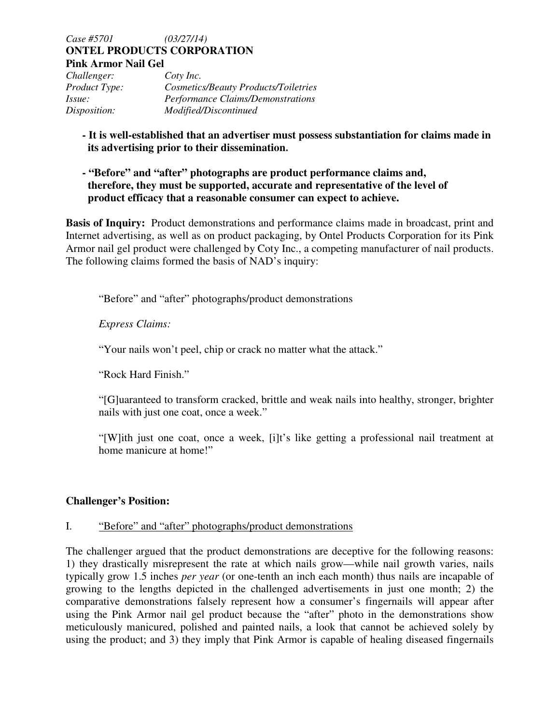*Case #5701 (03/27/14)*  **ONTEL PRODUCTS CORPORATION Pink Armor Nail Gel** 

| Challenger:          | Coty Inc.                                |
|----------------------|------------------------------------------|
| <i>Product Type:</i> | Cosmetics/Beauty Products/Toiletries     |
| Issue:               | <b>Performance Claims/Demonstrations</b> |
| Disposition:         | Modified/Discontinued                    |

# **- It is well-established that an advertiser must possess substantiation for claims made in its advertising prior to their dissemination.**

 **- "Before" and "after" photographs are product performance claims and, therefore, they must be supported, accurate and representative of the level of product efficacy that a reasonable consumer can expect to achieve.**

**Basis of Inquiry:** Product demonstrations and performance claims made in broadcast, print and Internet advertising, as well as on product packaging, by Ontel Products Corporation for its Pink Armor nail gel product were challenged by Coty Inc., a competing manufacturer of nail products. The following claims formed the basis of NAD's inquiry:

"Before" and "after" photographs/product demonstrations

*Express Claims:* 

"Your nails won't peel, chip or crack no matter what the attack."

"Rock Hard Finish."

"[G]uaranteed to transform cracked, brittle and weak nails into healthy, stronger, brighter nails with just one coat, once a week."

"[W]ith just one coat, once a week, [i]t's like getting a professional nail treatment at home manicure at home!"

## **Challenger's Position:**

## I. "Before" and "after" photographs/product demonstrations

The challenger argued that the product demonstrations are deceptive for the following reasons: 1) they drastically misrepresent the rate at which nails grow—while nail growth varies, nails typically grow 1.5 inches *per year* (or one-tenth an inch each month) thus nails are incapable of growing to the lengths depicted in the challenged advertisements in just one month; 2) the comparative demonstrations falsely represent how a consumer's fingernails will appear after using the Pink Armor nail gel product because the "after" photo in the demonstrations show meticulously manicured, polished and painted nails, a look that cannot be achieved solely by using the product; and 3) they imply that Pink Armor is capable of healing diseased fingernails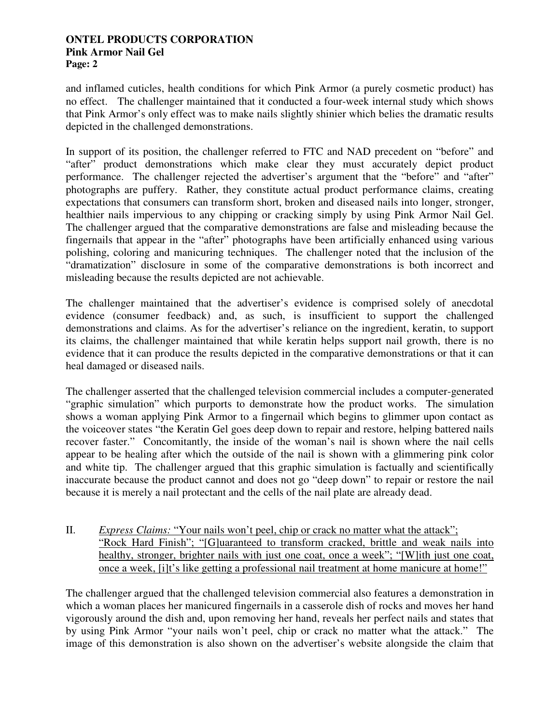and inflamed cuticles, health conditions for which Pink Armor (a purely cosmetic product) has no effect. The challenger maintained that it conducted a four-week internal study which shows that Pink Armor's only effect was to make nails slightly shinier which belies the dramatic results depicted in the challenged demonstrations.

In support of its position, the challenger referred to FTC and NAD precedent on "before" and "after" product demonstrations which make clear they must accurately depict product performance. The challenger rejected the advertiser's argument that the "before" and "after" photographs are puffery. Rather, they constitute actual product performance claims, creating expectations that consumers can transform short, broken and diseased nails into longer, stronger, healthier nails impervious to any chipping or cracking simply by using Pink Armor Nail Gel. The challenger argued that the comparative demonstrations are false and misleading because the fingernails that appear in the "after" photographs have been artificially enhanced using various polishing, coloring and manicuring techniques. The challenger noted that the inclusion of the "dramatization" disclosure in some of the comparative demonstrations is both incorrect and misleading because the results depicted are not achievable.

The challenger maintained that the advertiser's evidence is comprised solely of anecdotal evidence (consumer feedback) and, as such, is insufficient to support the challenged demonstrations and claims. As for the advertiser's reliance on the ingredient, keratin, to support its claims, the challenger maintained that while keratin helps support nail growth, there is no evidence that it can produce the results depicted in the comparative demonstrations or that it can heal damaged or diseased nails.

The challenger asserted that the challenged television commercial includes a computer-generated "graphic simulation" which purports to demonstrate how the product works. The simulation shows a woman applying Pink Armor to a fingernail which begins to glimmer upon contact as the voiceover states "the Keratin Gel goes deep down to repair and restore, helping battered nails recover faster." Concomitantly, the inside of the woman's nail is shown where the nail cells appear to be healing after which the outside of the nail is shown with a glimmering pink color and white tip. The challenger argued that this graphic simulation is factually and scientifically inaccurate because the product cannot and does not go "deep down" to repair or restore the nail because it is merely a nail protectant and the cells of the nail plate are already dead.

II. *Express Claims:* "Your nails won't peel, chip or crack no matter what the attack"; "Rock Hard Finish"; "[G]uaranteed to transform cracked, brittle and weak nails into healthy, stronger, brighter nails with just one coat, once a week"; "[W]ith just one coat, once a week, [i]t's like getting a professional nail treatment at home manicure at home!"

The challenger argued that the challenged television commercial also features a demonstration in which a woman places her manicured fingernails in a casserole dish of rocks and moves her hand vigorously around the dish and, upon removing her hand, reveals her perfect nails and states that by using Pink Armor "your nails won't peel, chip or crack no matter what the attack." The image of this demonstration is also shown on the advertiser's website alongside the claim that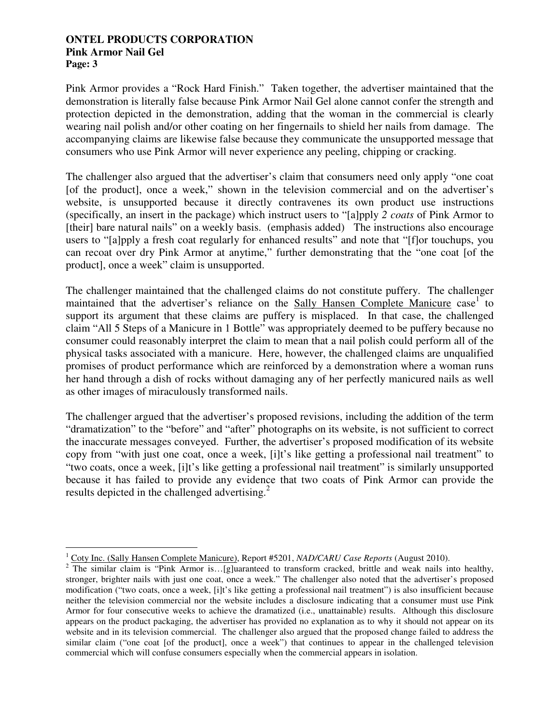Pink Armor provides a "Rock Hard Finish." Taken together, the advertiser maintained that the demonstration is literally false because Pink Armor Nail Gel alone cannot confer the strength and protection depicted in the demonstration, adding that the woman in the commercial is clearly wearing nail polish and/or other coating on her fingernails to shield her nails from damage. The accompanying claims are likewise false because they communicate the unsupported message that consumers who use Pink Armor will never experience any peeling, chipping or cracking.

The challenger also argued that the advertiser's claim that consumers need only apply "one coat [of the product], once a week," shown in the television commercial and on the advertiser's website, is unsupported because it directly contravenes its own product use instructions (specifically, an insert in the package) which instruct users to "[a]pply *2 coats* of Pink Armor to [their] bare natural nails" on a weekly basis. (emphasis added) The instructions also encourage users to "[a]pply a fresh coat regularly for enhanced results" and note that "[f]or touchups, you can recoat over dry Pink Armor at anytime," further demonstrating that the "one coat [of the product], once a week" claim is unsupported.

The challenger maintained that the challenged claims do not constitute puffery. The challenger maintained that the advertiser's reliance on the Sally Hansen Complete Manicure case<sup>1</sup> to support its argument that these claims are puffery is misplaced. In that case, the challenged claim "All 5 Steps of a Manicure in 1 Bottle" was appropriately deemed to be puffery because no consumer could reasonably interpret the claim to mean that a nail polish could perform all of the physical tasks associated with a manicure. Here, however, the challenged claims are unqualified promises of product performance which are reinforced by a demonstration where a woman runs her hand through a dish of rocks without damaging any of her perfectly manicured nails as well as other images of miraculously transformed nails.

The challenger argued that the advertiser's proposed revisions, including the addition of the term "dramatization" to the "before" and "after" photographs on its website, is not sufficient to correct the inaccurate messages conveyed. Further, the advertiser's proposed modification of its website copy from "with just one coat, once a week, [i]t's like getting a professional nail treatment" to "two coats, once a week, [i]t's like getting a professional nail treatment" is similarly unsupported because it has failed to provide any evidence that two coats of Pink Armor can provide the results depicted in the challenged advertising. $2$ 

 $\overline{a}$ 1 Coty Inc. (Sally Hansen Complete Manicure), Report #5201, *NAD/CARU Case Reports* (August 2010).

<sup>&</sup>lt;sup>2</sup> The similar claim is "Pink Armor is...[g]uaranteed to transform cracked, brittle and weak nails into healthy, stronger, brighter nails with just one coat, once a week." The challenger also noted that the advertiser's proposed modification ("two coats, once a week, [i]t's like getting a professional nail treatment") is also insufficient because neither the television commercial nor the website includes a disclosure indicating that a consumer must use Pink Armor for four consecutive weeks to achieve the dramatized (i.e., unattainable) results. Although this disclosure appears on the product packaging, the advertiser has provided no explanation as to why it should not appear on its website and in its television commercial. The challenger also argued that the proposed change failed to address the similar claim ("one coat [of the product], once a week") that continues to appear in the challenged television commercial which will confuse consumers especially when the commercial appears in isolation.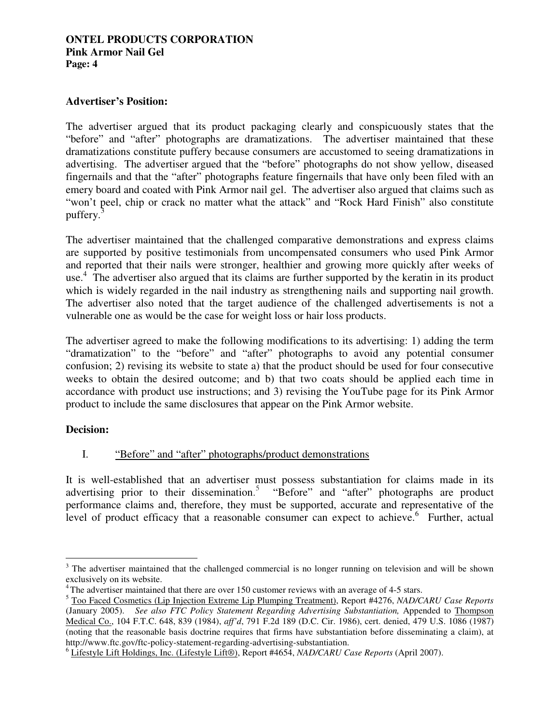## **Advertiser's Position:**

The advertiser argued that its product packaging clearly and conspicuously states that the "before" and "after" photographs are dramatizations. The advertiser maintained that these dramatizations constitute puffery because consumers are accustomed to seeing dramatizations in advertising. The advertiser argued that the "before" photographs do not show yellow, diseased fingernails and that the "after" photographs feature fingernails that have only been filed with an emery board and coated with Pink Armor nail gel. The advertiser also argued that claims such as "won't peel, chip or crack no matter what the attack" and "Rock Hard Finish" also constitute puffery.<sup>3</sup>

The advertiser maintained that the challenged comparative demonstrations and express claims are supported by positive testimonials from uncompensated consumers who used Pink Armor and reported that their nails were stronger, healthier and growing more quickly after weeks of use.<sup>4</sup> The advertiser also argued that its claims are further supported by the keratin in its product which is widely regarded in the nail industry as strengthening nails and supporting nail growth. The advertiser also noted that the target audience of the challenged advertisements is not a vulnerable one as would be the case for weight loss or hair loss products.

The advertiser agreed to make the following modifications to its advertising: 1) adding the term "dramatization" to the "before" and "after" photographs to avoid any potential consumer confusion; 2) revising its website to state a) that the product should be used for four consecutive weeks to obtain the desired outcome; and b) that two coats should be applied each time in accordance with product use instructions; and 3) revising the YouTube page for its Pink Armor product to include the same disclosures that appear on the Pink Armor website.

## **Decision:**

 $\overline{a}$ 

## I. "Before" and "after" photographs/product demonstrations

It is well-established that an advertiser must possess substantiation for claims made in its advertising prior to their dissemination.<sup>5</sup> "Before" and "after" photographs are product performance claims and, therefore, they must be supported, accurate and representative of the level of product efficacy that a reasonable consumer can expect to achieve.<sup>6</sup> Further, actual

 $3$  The advertiser maintained that the challenged commercial is no longer running on television and will be shown exclusively on its website.

<sup>4</sup>The advertiser maintained that there are over 150 customer reviews with an average of 4-5 stars.

<sup>5</sup> Too Faced Cosmetics (Lip Injection Extreme Lip Plumping Treatment), Report #4276, *NAD/CARU Case Reports*  (January 2005). *See also FTC Policy Statement Regarding Advertising Substantiation,* Appended to Thompson Medical Co., 104 F.T.C. 648, 839 (1984), *aff'd*, 791 F.2d 189 (D.C. Cir. 1986), cert. denied, 479 U.S. 1086 (1987) (noting that the reasonable basis doctrine requires that firms have substantiation before disseminating a claim), at http://www.ftc.gov/ftc-policy-statement-regarding-advertising-substantiation.

<sup>6</sup> Lifestyle Lift Holdings, Inc. (Lifestyle Lift®), Report #4654, *NAD/CARU Case Reports* (April 2007).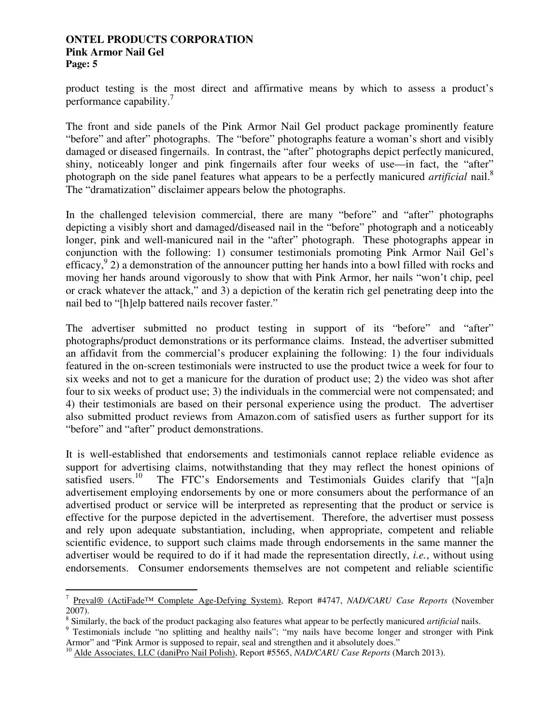product testing is the most direct and affirmative means by which to assess a product's performance capability.<sup>7</sup>

The front and side panels of the Pink Armor Nail Gel product package prominently feature "before" and after" photographs. The "before" photographs feature a woman's short and visibly damaged or diseased fingernails. In contrast, the "after" photographs depict perfectly manicured, shiny, noticeably longer and pink fingernails after four weeks of use—in fact, the "after" photograph on the side panel features what appears to be a perfectly manicured *artificial* nail.<sup>8</sup> The "dramatization" disclaimer appears below the photographs.

In the challenged television commercial, there are many "before" and "after" photographs depicting a visibly short and damaged/diseased nail in the "before" photograph and a noticeably longer, pink and well-manicured nail in the "after" photograph. These photographs appear in conjunction with the following: 1) consumer testimonials promoting Pink Armor Nail Gel's efficacy,  $9$  2) a demonstration of the announcer putting her hands into a bowl filled with rocks and moving her hands around vigorously to show that with Pink Armor, her nails "won't chip, peel or crack whatever the attack," and 3) a depiction of the keratin rich gel penetrating deep into the nail bed to "[h]elp battered nails recover faster."

The advertiser submitted no product testing in support of its "before" and "after" photographs/product demonstrations or its performance claims. Instead, the advertiser submitted an affidavit from the commercial's producer explaining the following: 1) the four individuals featured in the on-screen testimonials were instructed to use the product twice a week for four to six weeks and not to get a manicure for the duration of product use; 2) the video was shot after four to six weeks of product use; 3) the individuals in the commercial were not compensated; and 4) their testimonials are based on their personal experience using the product. The advertiser also submitted product reviews from Amazon.com of satisfied users as further support for its "before" and "after" product demonstrations.

It is well-established that endorsements and testimonials cannot replace reliable evidence as support for advertising claims, notwithstanding that they may reflect the honest opinions of satisfied users.<sup>10</sup> The FTC's Endorsements and Testimonials Guides clarify that "faln The FTC's Endorsements and Testimonials Guides clarify that "[a]n advertisement employing endorsements by one or more consumers about the performance of an advertised product or service will be interpreted as representing that the product or service is effective for the purpose depicted in the advertisement. Therefore, the advertiser must possess and rely upon adequate substantiation, including, when appropriate, competent and reliable scientific evidence, to support such claims made through endorsements in the same manner the advertiser would be required to do if it had made the representation directly, *i.e.*, without using endorsements. Consumer endorsements themselves are not competent and reliable scientific

 7 Preval® (ActiFade™ Complete Age-Defying System), Report #4747, *NAD/CARU Case Reports* (November 2007).

<sup>8</sup> Similarly, the back of the product packaging also features what appear to be perfectly manicured *artificial* nails.

<sup>&</sup>lt;sup>9</sup> Testimonials include "no splitting and healthy nails"; "my nails have become longer and stronger with Pink Armor" and "Pink Armor is supposed to repair, seal and strengthen and it absolutely does."

<sup>10</sup> Alde Associates, LLC (daniPro Nail Polish), Report #5565, *NAD/CARU Case Reports* (March 2013).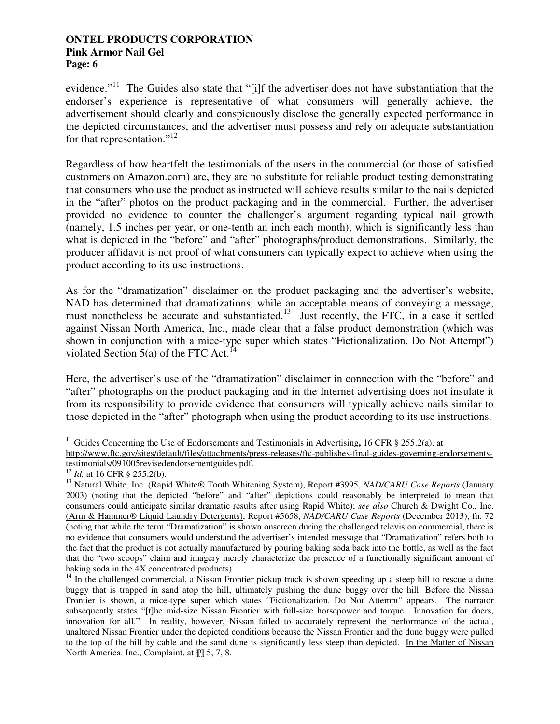evidence."<sup>11</sup> The Guides also state that "[i]f the advertiser does not have substantiation that the endorser's experience is representative of what consumers will generally achieve, the advertisement should clearly and conspicuously disclose the generally expected performance in the depicted circumstances, and the advertiser must possess and rely on adequate substantiation for that representation."<sup>12</sup>

Regardless of how heartfelt the testimonials of the users in the commercial (or those of satisfied customers on Amazon.com) are, they are no substitute for reliable product testing demonstrating that consumers who use the product as instructed will achieve results similar to the nails depicted in the "after" photos on the product packaging and in the commercial. Further, the advertiser provided no evidence to counter the challenger's argument regarding typical nail growth (namely, 1.5 inches per year, or one-tenth an inch each month), which is significantly less than what is depicted in the "before" and "after" photographs/product demonstrations. Similarly, the producer affidavit is not proof of what consumers can typically expect to achieve when using the product according to its use instructions.

As for the "dramatization" disclaimer on the product packaging and the advertiser's website, NAD has determined that dramatizations, while an acceptable means of conveying a message, must nonetheless be accurate and substantiated.<sup>13</sup> Just recently, the FTC, in a case it settled against Nissan North America, Inc., made clear that a false product demonstration (which was shown in conjunction with a mice-type super which states "Fictionalization. Do Not Attempt") violated Section 5(a) of the FTC Act.<sup>14</sup>

Here, the advertiser's use of the "dramatization" disclaimer in connection with the "before" and "after" photographs on the product packaging and in the Internet advertising does not insulate it from its responsibility to provide evidence that consumers will typically achieve nails similar to those depicted in the "after" photograph when using the product according to its use instructions.

 $\overline{a}$ <sup>11</sup> Guides Concerning the Use of Endorsements and Testimonials in Advertising**,** 16 CFR § 255.2(a), at

http://www.ftc.gov/sites/default/files/attachments/press-releases/ftc-publishes-final-guides-governing-endorsementstestimonials/091005revisedendorsementguides.pdf.

*Id.* at 16 CFR § 255.2(b).

<sup>13</sup> Natural White, Inc. (Rapid White® Tooth Whitening System), Report #3995, *NAD/CARU Case Reports* (January 2003) (noting that the depicted "before" and "after" depictions could reasonably be interpreted to mean that consumers could anticipate similar dramatic results after using Rapid White); *see also* Church & Dwight Co., Inc. (Arm & Hammer® Liquid Laundry Detergents), Report #5658, *NAD/CARU Case Reports* (December 2013), fn. 72 (noting that while the term "Dramatization" is shown onscreen during the challenged television commercial, there is no evidence that consumers would understand the advertiser's intended message that "Dramatization" refers both to the fact that the product is not actually manufactured by pouring baking soda back into the bottle, as well as the fact that the "two scoops" claim and imagery merely characterize the presence of a functionally significant amount of baking soda in the 4X concentrated products).

 $14$  In the challenged commercial, a Nissan Frontier pickup truck is shown speeding up a steep hill to rescue a dune buggy that is trapped in sand atop the hill, ultimately pushing the dune buggy over the hill. Before the Nissan Frontier is shown, a mice-type super which states "Fictionalization. Do Not Attempt" appears. The narrator subsequently states "[t]he mid-size Nissan Frontier with full-size horsepower and torque. Innovation for doers, innovation for all." In reality, however, Nissan failed to accurately represent the performance of the actual, unaltered Nissan Frontier under the depicted conditions because the Nissan Frontier and the dune buggy were pulled to the top of the hill by cable and the sand dune is significantly less steep than depicted. In the Matter of Nissan North America. Inc., Complaint, at ¶¶ 5, 7, 8.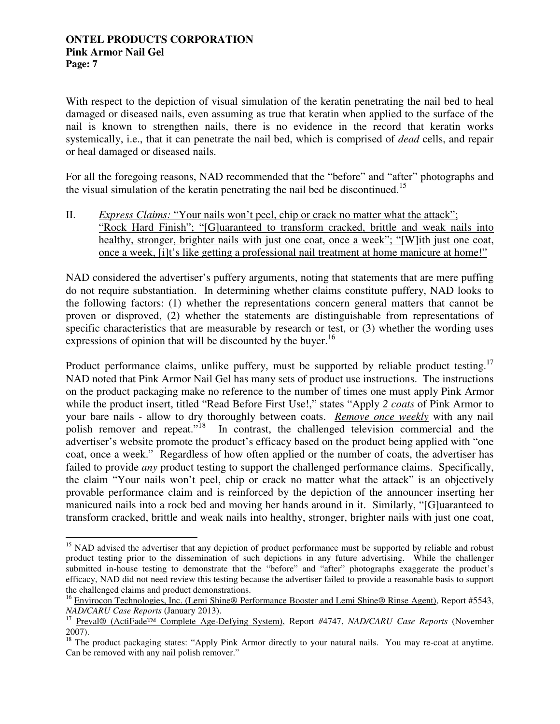With respect to the depiction of visual simulation of the keratin penetrating the nail bed to heal damaged or diseased nails, even assuming as true that keratin when applied to the surface of the nail is known to strengthen nails, there is no evidence in the record that keratin works systemically, i.e., that it can penetrate the nail bed, which is comprised of *dead* cells, and repair or heal damaged or diseased nails.

For all the foregoing reasons, NAD recommended that the "before" and "after" photographs and the visual simulation of the keratin penetrating the nail bed be discontinued.<sup>15</sup>

II. *Express Claims:* "Your nails won't peel, chip or crack no matter what the attack"; "Rock Hard Finish"; "[G]uaranteed to transform cracked, brittle and weak nails into healthy, stronger, brighter nails with just one coat, once a week"; "[W]ith just one coat, once a week, [i]t's like getting a professional nail treatment at home manicure at home!"

NAD considered the advertiser's puffery arguments, noting that statements that are mere puffing do not require substantiation. In determining whether claims constitute puffery, NAD looks to the following factors: (1) whether the representations concern general matters that cannot be proven or disproved, (2) whether the statements are distinguishable from representations of specific characteristics that are measurable by research or test, or (3) whether the wording uses expressions of opinion that will be discounted by the buyer.<sup>16</sup>

Product performance claims, unlike puffery, must be supported by reliable product testing.<sup>17</sup> NAD noted that Pink Armor Nail Gel has many sets of product use instructions. The instructions on the product packaging make no reference to the number of times one must apply Pink Armor while the product insert, titled "Read Before First Use!," states "Apply *2 coats* of Pink Armor to your bare nails - allow to dry thoroughly between coats. *Remove once weekly* with any nail polish remover and repeat."<sup>18</sup> In contrast, the challenged television commercial and the advertiser's website promote the product's efficacy based on the product being applied with "one coat, once a week." Regardless of how often applied or the number of coats, the advertiser has failed to provide *any* product testing to support the challenged performance claims. Specifically, the claim "Your nails won't peel, chip or crack no matter what the attack" is an objectively provable performance claim and is reinforced by the depiction of the announcer inserting her manicured nails into a rock bed and moving her hands around in it. Similarly, "[G]uaranteed to transform cracked, brittle and weak nails into healthy, stronger, brighter nails with just one coat,

 $\overline{a}$ <sup>15</sup> NAD advised the advertiser that any depiction of product performance must be supported by reliable and robust product testing prior to the dissemination of such depictions in any future advertising. While the challenger submitted in-house testing to demonstrate that the "before" and "after" photographs exaggerate the product's efficacy, NAD did not need review this testing because the advertiser failed to provide a reasonable basis to support the challenged claims and product demonstrations.

<sup>&</sup>lt;sup>16</sup> Envirocon Technologies, Inc. (Lemi Shine® Performance Booster and Lemi Shine® Rinse Agent), Report #5543, *NAD/CARU Case Reports* (January 2013).

<sup>17</sup> Preval® (ActiFade™ Complete Age-Defying System), Report *#*4747, *NAD/CARU Case Reports* (November 2007).

<sup>&</sup>lt;sup>18</sup> The product packaging states: "Apply Pink Armor directly to your natural nails. You may re-coat at anytime. Can be removed with any nail polish remover."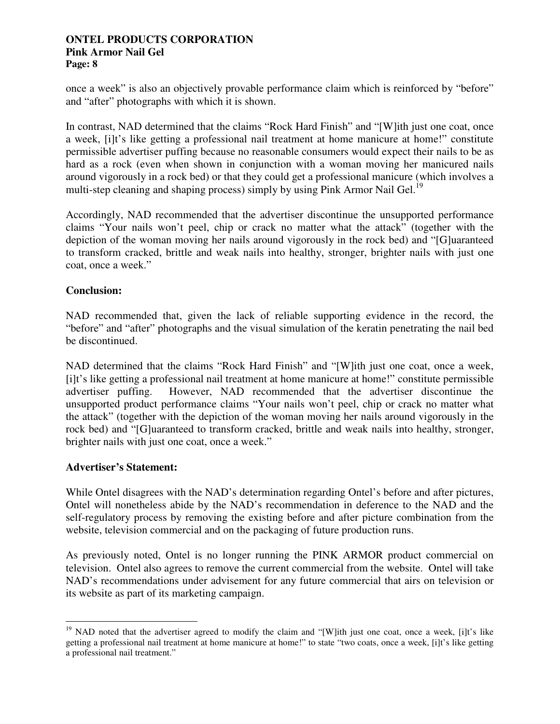once a week" is also an objectively provable performance claim which is reinforced by "before" and "after" photographs with which it is shown.

In contrast, NAD determined that the claims "Rock Hard Finish" and "[W]ith just one coat, once a week, [i]t's like getting a professional nail treatment at home manicure at home!" constitute permissible advertiser puffing because no reasonable consumers would expect their nails to be as hard as a rock (even when shown in conjunction with a woman moving her manicured nails around vigorously in a rock bed) or that they could get a professional manicure (which involves a multi-step cleaning and shaping process) simply by using Pink Armor Nail Gel.<sup>19</sup>

Accordingly, NAD recommended that the advertiser discontinue the unsupported performance claims "Your nails won't peel, chip or crack no matter what the attack" (together with the depiction of the woman moving her nails around vigorously in the rock bed) and "[G]uaranteed to transform cracked, brittle and weak nails into healthy, stronger, brighter nails with just one coat, once a week."

# **Conclusion:**

NAD recommended that, given the lack of reliable supporting evidence in the record, the "before" and "after" photographs and the visual simulation of the keratin penetrating the nail bed be discontinued.

NAD determined that the claims "Rock Hard Finish" and "[W]ith just one coat, once a week, [i]t's like getting a professional nail treatment at home manicure at home!" constitute permissible advertiser puffing. However, NAD recommended that the advertiser discontinue the unsupported product performance claims "Your nails won't peel, chip or crack no matter what the attack" (together with the depiction of the woman moving her nails around vigorously in the rock bed) and "[G]uaranteed to transform cracked, brittle and weak nails into healthy, stronger, brighter nails with just one coat, once a week."

## **Advertiser's Statement:**

While Ontel disagrees with the NAD's determination regarding Ontel's before and after pictures, Ontel will nonetheless abide by the NAD's recommendation in deference to the NAD and the self-regulatory process by removing the existing before and after picture combination from the website, television commercial and on the packaging of future production runs.

As previously noted, Ontel is no longer running the PINK ARMOR product commercial on television. Ontel also agrees to remove the current commercial from the website. Ontel will take NAD's recommendations under advisement for any future commercial that airs on television or its website as part of its marketing campaign.

 $\overline{a}$  $19$  NAD noted that the advertiser agreed to modify the claim and "[W]ith just one coat, once a week, [i]t's like getting a professional nail treatment at home manicure at home!" to state "two coats, once a week, [i]t's like getting a professional nail treatment."